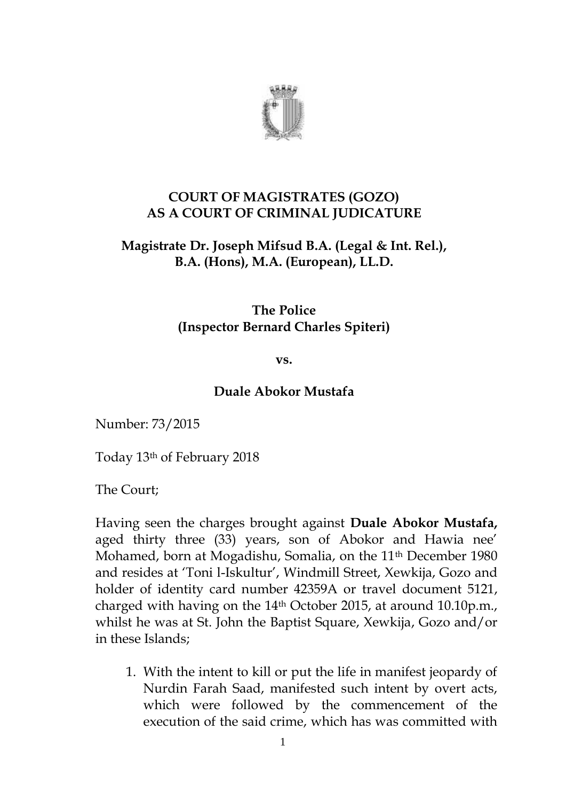

## **COURT OF MAGISTRATES (GOZO) AS A COURT OF CRIMINAL JUDICATURE**

# **Magistrate Dr. Joseph Mifsud B.A. (Legal & Int. Rel.), B.A. (Hons), M.A. (European), LL.D.**

## **The Police (Inspector Bernard Charles Spiteri)**

### **vs.**

## **Duale Abokor Mustafa**

Number: 73/2015

Today 13th of February 2018

The Court;

Having seen the charges brought against **Duale Abokor Mustafa,**  aged thirty three (33) years, son of Abokor and Hawia nee' Mohamed, born at Mogadishu, Somalia, on the 11<sup>th</sup> December 1980 and resides at 'Toni l-Iskultur', Windmill Street, Xewkija, Gozo and holder of identity card number 42359A or travel document 5121, charged with having on the 14th October 2015, at around 10.10p.m., whilst he was at St. John the Baptist Square, Xewkija, Gozo and/or in these Islands;

1. With the intent to kill or put the life in manifest jeopardy of Nurdin Farah Saad, manifested such intent by overt acts, which were followed by the commencement of the execution of the said crime, which has was committed with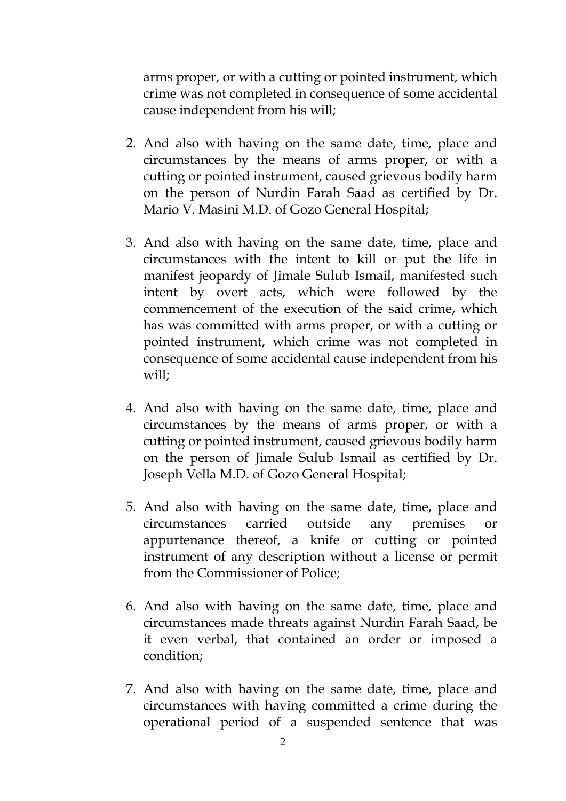arms proper, or with a cutting or pointed instrument, which crime was not completed in consequence of some accidental cause independent from his will;

- 2. And also with having on the same date, time, place and circumstances by the means of arms proper, or with a cutting or pointed instrument, caused grievous bodily harm on the person of Nurdin Farah Saad as certified by Dr. Mario V. Masini M.D. of Gozo General Hospital;
- 3. And also with having on the same date, time, place and circumstances with the intent to kill or put the life in manifest jeopardy of Jimale Sulub Ismail, manifested such intent by overt acts, which were followed by the commencement of the execution of the said crime, which has was committed with arms proper, or with a cutting or pointed instrument, which crime was not completed in consequence of some accidental cause independent from his will;
- 4. And also with having on the same date, time, place and circumstances by the means of arms proper, or with a cutting or pointed instrument, caused grievous bodily harm on the person of Jimale Sulub Ismail as certified by Dr. Joseph Vella M.D. of Gozo General Hospital;
- 5. And also with having on the same date, time, place and circumstances carried outside any premises or appurtenance thereof, a knife or cutting or pointed instrument of any description without a license or permit from the Commissioner of Police;
- 6. And also with having on the same date, time, place and circumstances made threats against Nurdin Farah Saad, be it even verbal, that contained an order or imposed a condition;
- 7. And also with having on the same date, time, place and circumstances with having committed a crime during the operational period of a suspended sentence that was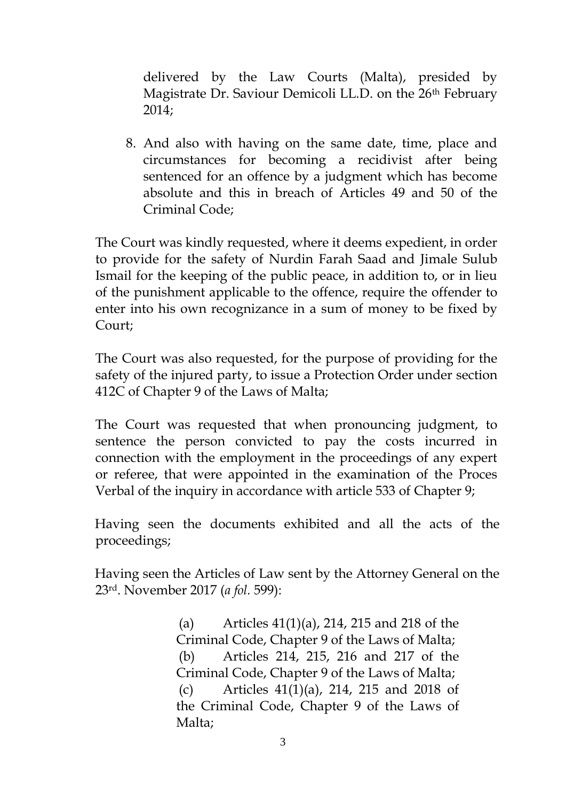delivered by the Law Courts (Malta), presided by Magistrate Dr. Saviour Demicoli LL.D. on the 26<sup>th</sup> February 2014;

8. And also with having on the same date, time, place and circumstances for becoming a recidivist after being sentenced for an offence by a judgment which has become absolute and this in breach of Articles 49 and 50 of the Criminal Code;

The Court was kindly requested, where it deems expedient, in order to provide for the safety of Nurdin Farah Saad and Jimale Sulub Ismail for the keeping of the public peace, in addition to, or in lieu of the punishment applicable to the offence, require the offender to enter into his own recognizance in a sum of money to be fixed by Court;

The Court was also requested, for the purpose of providing for the safety of the injured party, to issue a Protection Order under section 412C of Chapter 9 of the Laws of Malta;

The Court was requested that when pronouncing judgment, to sentence the person convicted to pay the costs incurred in connection with the employment in the proceedings of any expert or referee, that were appointed in the examination of the Proces Verbal of the inquiry in accordance with article 533 of Chapter 9;

 Having seen the documents exhibited and all the acts of the proceedings;

 Having seen the Articles of Law sent by the Attorney General on the 23rd. November 2017 (*a fol.* 599):

> (a) Articles 41(1)(a), 214, 215 and 218 of the Criminal Code, Chapter 9 of the Laws of Malta; (b) Articles 214, 215, 216 and 217 of the Criminal Code, Chapter 9 of the Laws of Malta; (c) Articles 41(1)(a), 214, 215 and 2018 of the Criminal Code, Chapter 9 of the Laws of Malta;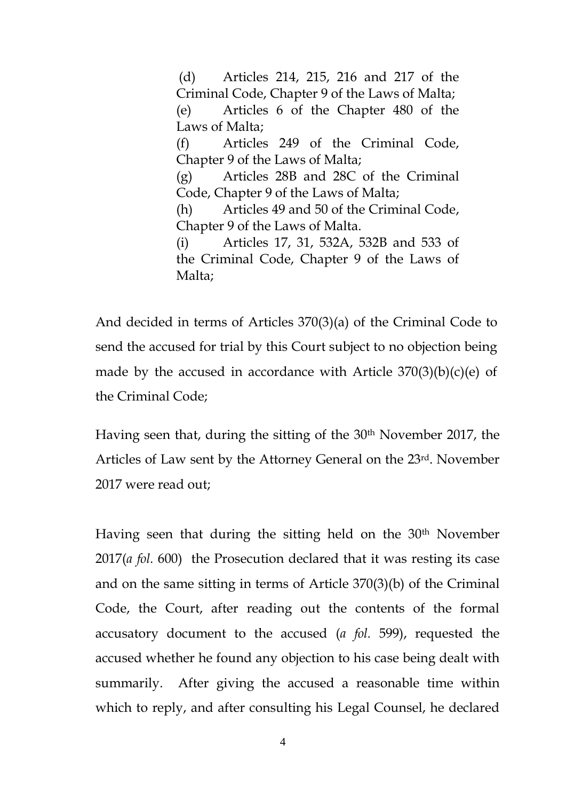(d) Articles 214, 215, 216 and 217 of the Criminal Code, Chapter 9 of the Laws of Malta; (e) Articles 6 of the Chapter 480 of the Laws of Malta; (f) Articles 249 of the Criminal Code, Chapter 9 of the Laws of Malta; (g) Articles 28B and 28C of the Criminal Code, Chapter 9 of the Laws of Malta; (h) Articles 49 and 50 of the Criminal Code, Chapter 9 of the Laws of Malta. (i) Articles 17, 31, 532A, 532B and 533 of the Criminal Code, Chapter 9 of the Laws of Malta;

And decided in terms of Articles 370(3)(a) of the Criminal Code to send the accused for trial by this Court subject to no objection being made by the accused in accordance with Article 370(3)(b)(c)(e) of the Criminal Code;

Having seen that, during the sitting of the 30<sup>th</sup> November 2017, the Articles of Law sent by the Attorney General on the 23rd. November 2017 were read out;

Having seen that during the sitting held on the 30<sup>th</sup> November 2017(*a fol.* 600) the Prosecution declared that it was resting its case and on the same sitting in terms of Article 370(3)(b) of the Criminal Code, the Court, after reading out the contents of the formal accusatory document to the accused (*a fol.* 599), requested the accused whether he found any objection to his case being dealt with summarily. After giving the accused a reasonable time within which to reply, and after consulting his Legal Counsel, he declared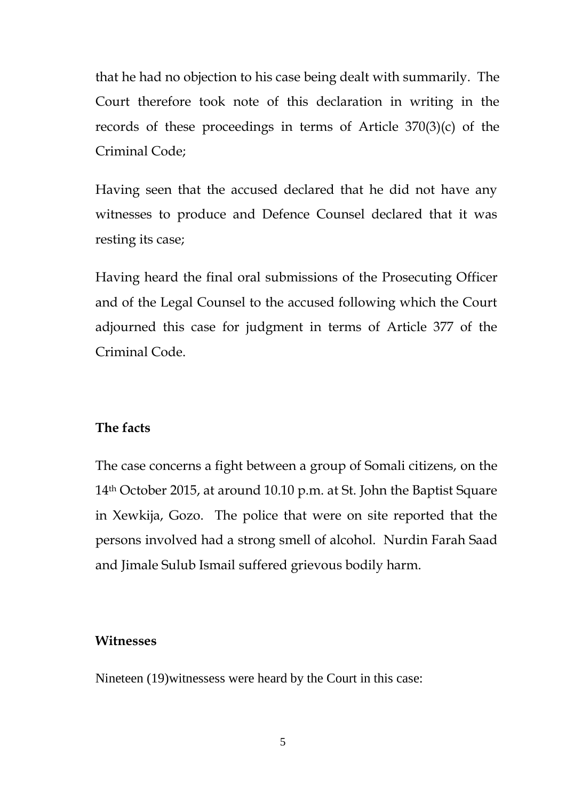that he had no objection to his case being dealt with summarily. The Court therefore took note of this declaration in writing in the records of these proceedings in terms of Article 370(3)(c) of the Criminal Code;

Having seen that the accused declared that he did not have any witnesses to produce and Defence Counsel declared that it was resting its case;

Having heard the final oral submissions of the Prosecuting Officer and of the Legal Counsel to the accused following which the Court adjourned this case for judgment in terms of Article 377 of the Criminal Code.

#### **The facts**

The case concerns a fight between a group of Somali citizens, on the 14th October 2015, at around 10.10 p.m. at St. John the Baptist Square in Xewkija, Gozo. The police that were on site reported that the persons involved had a strong smell of alcohol. Nurdin Farah Saad and Jimale Sulub Ismail suffered grievous bodily harm.

#### **Witnesses**

Nineteen (19)witnessess were heard by the Court in this case: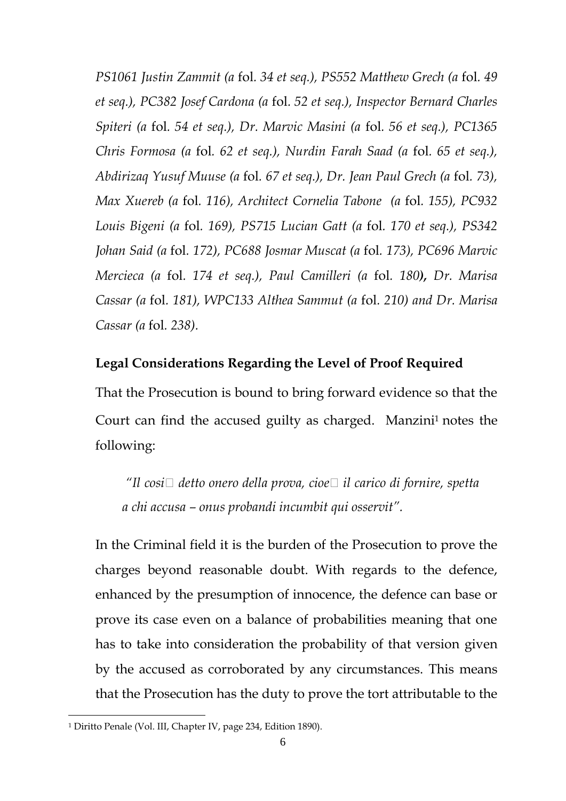*PS1061 Justin Zammit (a* fol*. 34 et seq.), PS552 Matthew Grech (a* fol*. 49 et seq.), PC382 Josef Cardona (a* fol*. 52 et seq.), Inspector Bernard Charles Spiteri (a* fol*. 54 et seq.), Dr. Marvic Masini (a* fol*. 56 et seq.), PC1365 Chris Formosa (a* fol*. 62 et seq.), Nurdin Farah Saad (a* fol*. 65 et seq.), Abdirizaq Yusuf Muuse (a* fol*. 67 et seq.), Dr. Jean Paul Grech (a* fol*. 73), Max Xuereb (a* fol*. 116), Architect Cornelia Tabone (a* fol*. 155), PC932 Louis Bigeni (a* fol*. 169), PS715 Lucian Gatt (a* fol*. 170 et seq.), PS342 Johan Said (a* fol*. 172), PC688 Josmar Muscat (a* fol*. 173), PC696 Marvic Mercieca (a* fol*. 174 et seq.), Paul Camilleri (a* fol*. 180), Dr. Marisa Cassar (a* fol*. 181), WPC133 Althea Sammut (a* fol*. 210) and Dr. Marisa Cassar (a* fol*. 238).*

### **Legal Considerations Regarding the Level of Proof Required**

That the Prosecution is bound to bring forward evidence so that the Court can find the accused guilty as charged. Manzini<sup>1</sup> notes the following:

*"Il così detto onero della prova, cioè il carico di fornire, spetta a chi accusa – onus probandi incumbit qui osservit".*

In the Criminal field it is the burden of the Prosecution to prove the charges beyond reasonable doubt. With regards to the defence, enhanced by the presumption of innocence, the defence can base or prove its case even on a balance of probabilities meaning that one has to take into consideration the probability of that version given by the accused as corroborated by any circumstances. This means that the Prosecution has the duty to prove the tort attributable to the

<u>.</u>

<sup>1</sup> Diritto Penale (Vol. III, Chapter IV, page 234, Edition 1890).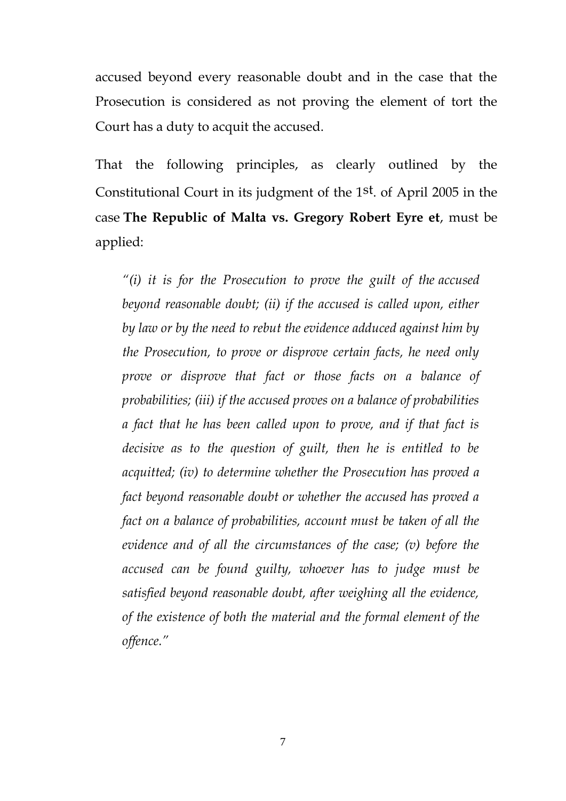accused beyond every reasonable doubt and in the case that the Prosecution is considered as not proving the element of tort the Court has a duty to acquit the accused.

That the following principles, as clearly outlined by the Constitutional Court in its judgment of the 1st. of April 2005 in the case **The Republic of Malta vs. Gregory Robert Eyre et**, must be applied:

*"(i) it is for the Prosecution to prove the guilt of the accused beyond reasonable doubt; (ii) if the accused is called upon, either by law or by the need to rebut the evidence adduced against him by the Prosecution, to prove or disprove certain facts, he need only prove or disprove that fact or those facts on a balance of probabilities; (iii) if the accused proves on a balance of probabilities a fact that he has been called upon to prove, and if that fact is decisive as to the question of guilt, then he is entitled to be acquitted; (iv) to determine whether the Prosecution has proved a fact beyond reasonable doubt or whether the accused has proved a fact on a balance of probabilities, account must be taken of all the evidence and of all the circumstances of the case; (v) before the accused can be found guilty, whoever has to judge must be satisfied beyond reasonable doubt, after weighing all the evidence, of the existence of both the material and the formal element of the offence."*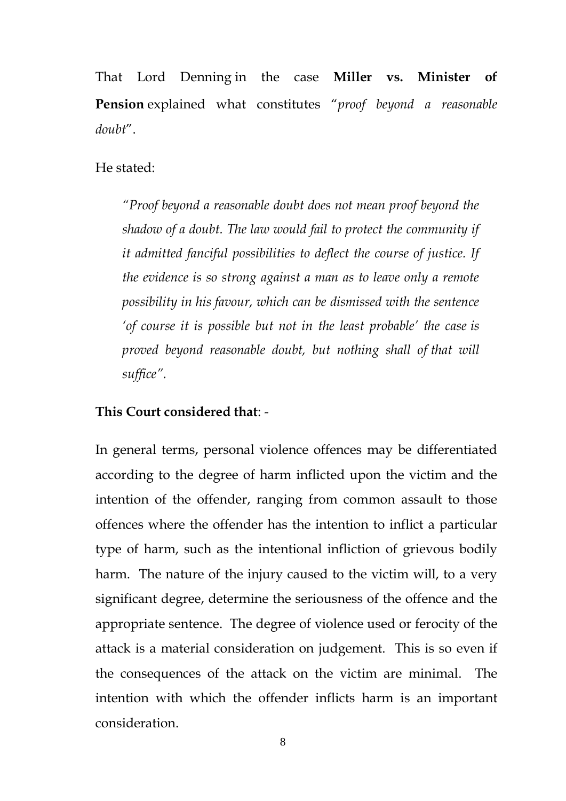That Lord Denning in the case **Miller vs. Minister of Pension** explained what constitutes "*proof beyond a reasonable doubt*".

He stated:

*"Proof beyond a reasonable doubt does not mean proof beyond the shadow of a doubt. The law would fail to protect the community if it admitted fanciful possibilities to deflect the course of justice. If the evidence is so strong against a man as to leave only a remote possibility in his favour, which can be dismissed with the sentence 'of course it is possible but not in the least probable' the case is proved beyond reasonable doubt, but nothing shall of that will suffice".*

## **This Court considered that**: -

In general terms, personal violence offences may be differentiated according to the degree of harm inflicted upon the victim and the intention of the offender, ranging from common assault to those offences where the offender has the intention to inflict a particular type of harm, such as the intentional infliction of grievous bodily harm. The nature of the injury caused to the victim will, to a very significant degree, determine the seriousness of the offence and the appropriate sentence. The degree of violence used or ferocity of the attack is a material consideration on judgement. This is so even if the consequences of the attack on the victim are minimal. The intention with which the offender inflicts harm is an important consideration.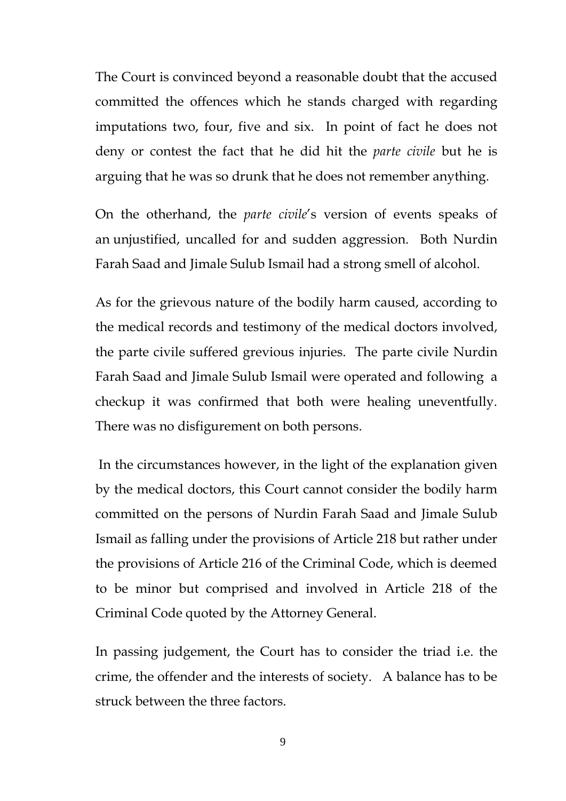The Court is convinced beyond a reasonable doubt that the accused committed the offences which he stands charged with regarding imputations two, four, five and six. In point of fact he does not deny or contest the fact that he did hit the *parte civile* but he is arguing that he was so drunk that he does not remember anything.

On the otherhand, the *parte civile*'s version of events speaks of an unjustified, uncalled for and sudden aggression. Both Nurdin Farah Saad and Jimale Sulub Ismail had a strong smell of alcohol.

As for the grievous nature of the bodily harm caused, according to the medical records and testimony of the medical doctors involved, the parte civile suffered grevious injuries. The parte civile Nurdin Farah Saad and Jimale Sulub Ismail were operated and following a checkup it was confirmed that both were healing uneventfully. There was no disfigurement on both persons.

In the circumstances however, in the light of the explanation given by the medical doctors, this Court cannot consider the bodily harm committed on the persons of Nurdin Farah Saad and Jimale Sulub Ismail as falling under the provisions of Article 218 but rather under the provisions of Article 216 of the Criminal Code, which is deemed to be minor but comprised and involved in Article 218 of the Criminal Code quoted by the Attorney General.

In passing judgement, the Court has to consider the triad i.e. the crime, the offender and the interests of society. A balance has to be struck between the three factors.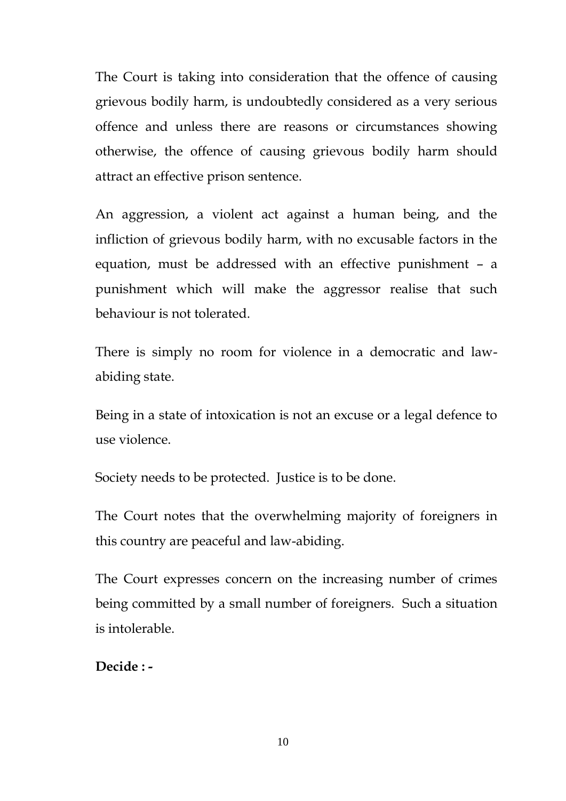The Court is taking into consideration that the offence of causing grievous bodily harm, is undoubtedly considered as a very serious offence and unless there are reasons or circumstances showing otherwise, the offence of causing grievous bodily harm should attract an effective prison sentence.

An aggression, a violent act against a human being, and the infliction of grievous bodily harm, with no excusable factors in the equation, must be addressed with an effective punishment – a punishment which will make the aggressor realise that such behaviour is not tolerated.

There is simply no room for violence in a democratic and lawabiding state.

Being in a state of intoxication is not an excuse or a legal defence to use violence.

Society needs to be protected. Justice is to be done.

The Court notes that the overwhelming majority of foreigners in this country are peaceful and law-abiding.

The Court expresses concern on the increasing number of crimes being committed by a small number of foreigners. Such a situation is intolerable.

**Decide : -**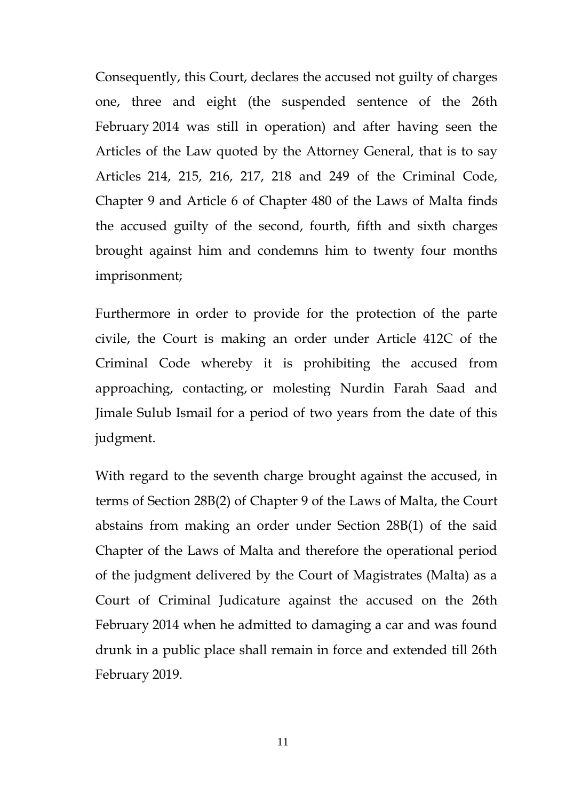Consequently, this Court, declares the accused not guilty of charges one, three and eight (the suspended sentence of the 26th February 2014 was still in operation) and after having seen the Articles of the Law quoted by the Attorney General, that is to say Articles 214, 215, 216, 217, 218 and 249 of the Criminal Code, Chapter 9 and Article 6 of Chapter 480 of the Laws of Malta finds the accused guilty of the second, fourth, fifth and sixth charges brought against him and condemns him to twenty four months imprisonment;

Furthermore in order to provide for the protection of the parte civile, the Court is making an order under Article 412C of the Criminal Code whereby it is prohibiting the accused from approaching, contacting, or molesting Nurdin Farah Saad and Jimale Sulub Ismail for a period of two years from the date of this judgment.

With regard to the seventh charge brought against the accused, in terms of Section 28B(2) of Chapter 9 of the Laws of Malta, the Court abstains from making an order under Section 28B(1) of the said Chapter of the Laws of Malta and therefore the operational period of the judgment delivered by the Court of Magistrates (Malta) as a Court of Criminal Judicature against the accused on the 26th February 2014 when he admitted to damaging a car and was found drunk in a public place shall remain in force and extended till 26th February 2019.